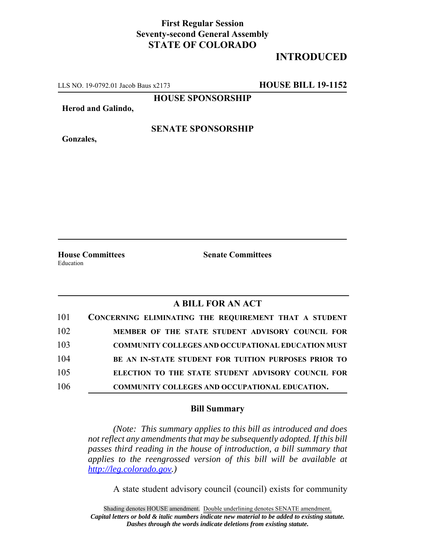## **First Regular Session Seventy-second General Assembly STATE OF COLORADO**

## **INTRODUCED**

LLS NO. 19-0792.01 Jacob Baus x2173 **HOUSE BILL 19-1152**

**HOUSE SPONSORSHIP**

**Herod and Galindo,**

**Gonzales,**

**SENATE SPONSORSHIP**

Education

**House Committees Senate Committees**

## **A BILL FOR AN ACT**

| 101 | CONCERNING ELIMINATING THE REQUIREMENT THAT A STUDENT     |
|-----|-----------------------------------------------------------|
| 102 | MEMBER OF THE STATE STUDENT ADVISORY COUNCIL FOR          |
| 103 | <b>COMMUNITY COLLEGES AND OCCUPATIONAL EDUCATION MUST</b> |
| 104 | BE AN IN-STATE STUDENT FOR TUITION PURPOSES PRIOR TO      |
| 105 | ELECTION TO THE STATE STUDENT ADVISORY COUNCIL FOR        |
| 106 | COMMUNITY COLLEGES AND OCCUPATIONAL EDUCATION.            |

## **Bill Summary**

*(Note: This summary applies to this bill as introduced and does not reflect any amendments that may be subsequently adopted. If this bill passes third reading in the house of introduction, a bill summary that applies to the reengrossed version of this bill will be available at http://leg.colorado.gov.)*

A state student advisory council (council) exists for community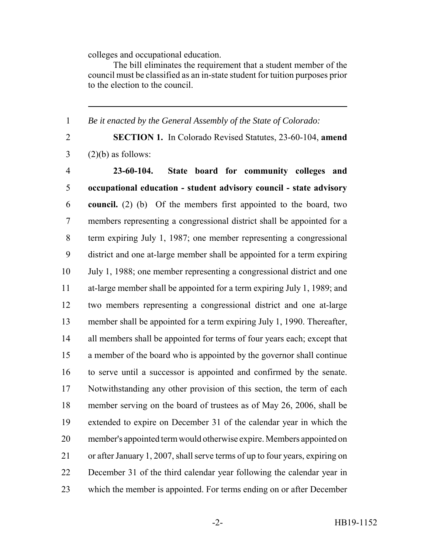colleges and occupational education.

The bill eliminates the requirement that a student member of the council must be classified as an in-state student for tuition purposes prior to the election to the council.

*Be it enacted by the General Assembly of the State of Colorado:*

 **SECTION 1.** In Colorado Revised Statutes, 23-60-104, **amend**  $3 \qquad (2)(b)$  as follows:

 **23-60-104. State board for community colleges and occupational education - student advisory council - state advisory council.** (2) (b) Of the members first appointed to the board, two members representing a congressional district shall be appointed for a term expiring July 1, 1987; one member representing a congressional district and one at-large member shall be appointed for a term expiring July 1, 1988; one member representing a congressional district and one at-large member shall be appointed for a term expiring July 1, 1989; and two members representing a congressional district and one at-large member shall be appointed for a term expiring July 1, 1990. Thereafter, 14 all members shall be appointed for terms of four years each; except that a member of the board who is appointed by the governor shall continue to serve until a successor is appointed and confirmed by the senate. Notwithstanding any other provision of this section, the term of each member serving on the board of trustees as of May 26, 2006, shall be extended to expire on December 31 of the calendar year in which the member's appointed term would otherwise expire. Members appointed on or after January 1, 2007, shall serve terms of up to four years, expiring on December 31 of the third calendar year following the calendar year in which the member is appointed. For terms ending on or after December